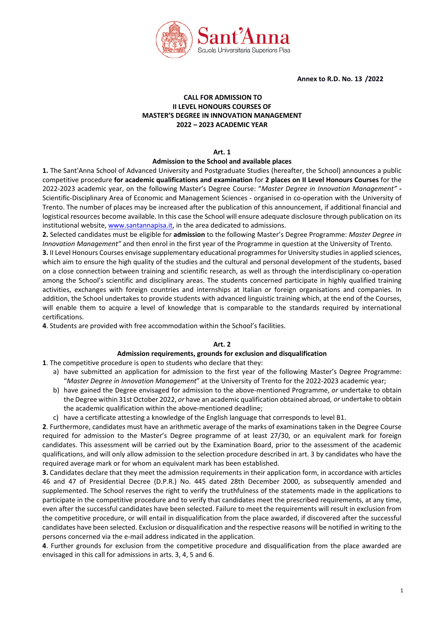

**Annex to R.D. No. 13 /2022** 

## **CALL FOR ADMISSION TO II LEVEL HONOURS COURSES OF MASTER'S DEGREE IN INNOVATION MANAGEMENT 2022 – 2023 ACADEMIC YEAR**

## **Art. 1**

#### **Admission to the School and available places**

**1.** The Sant'Anna School of Advanced University and Postgraduate Studies (hereafter, the School) announces a public competitive procedure **for academic qualifications and examination** for **2 places on II Level Honours Courses** for the 2022-2023 academic year, on the following Master's Degree Course: "*Master Degree in Innovation Management"* **-** Scientific-Disciplinary Area of Economic and Management Sciences - organised in co-operation with the University of Trento. The number of places may be increased after the publication of this announcement, if additional financial and logistical resources become available. In this case the School will ensure adequate disclosure through publication on its institutional website[, www.santannapisa.it,](http://www.santannapisa.it/) in the area dedicated to admissions.

**2.** Selected candidates must be eligible for **admission** to the following Master's Degree Programme: *Master Degree in Innovation Management"* and then enrol in the first year of the Programme in question at the University of Trento.

**3.** II Level Honours Courses envisage supplementary educational programmes for University studies in applied sciences, which aim to ensure the high quality of the studies and the cultural and personal development of the students, based on a close connection between training and scientific research, as well as through the interdisciplinary co-operation among the School's scientific and disciplinary areas. The students concerned participate in highly qualified training activities, exchanges with foreign countries and internships at Italian or foreign organisations and companies. In addition, the School undertakes to provide students with advanced linguistic training which, at the end of the Courses, will enable them to acquire a level of knowledge that is comparable to the standards required by international certifications.

**4**. Students are provided with free accommodation within the School's facilities.

## **Art. 2**

#### **Admission requirements, grounds for exclusion and disqualification**

**1**. The competitive procedure is open to students who declare that they:

- a) have submitted an application for admission to the first year of the following Master's Degree Programme: "*Master Degree in Innovation Management*" at the University of Trento for the 2022-2023 academic year;
- b) have gained the Degree envisaged for admission to the above-mentioned Programme, *or* undertake to obtain the Degree within 31st October 2022, *or* have an academic qualification obtained abroad, *or* undertake to obtain the academic qualification within the above-mentioned deadline;
- c) have a certificate attesting a knowledge of the English language that corresponds to level B1.

**2**. Furthermore, candidates must have an arithmetic average of the marks of examinations taken in the Degree Course required for admission to the Master's Degree programme of at least 27/30, or an equivalent mark for foreign candidates. This assessment will be carried out by the Examination Board, prior to the assessment of the academic qualifications, and will only allow admission to the selection procedure described in art. 3 by candidates who have the required average mark or for whom an equivalent mark has been established.

**3.** Candidates declare that they meet the admission requirements in their application form, in accordance with articles 46 and 47 of Presidential Decree (D.P.R.) No. 445 dated 28th December 2000, as subsequently amended and supplemented. The School reserves the right to verify the truthfulness of the statements made in the applications to participate in the competitive procedure and to verify that candidates meet the prescribed requirements, at any time, even after the successful candidates have been selected. Failure to meet the requirements will result in exclusion from the competitive procedure, or will entail in disqualification from the place awarded, if discovered after the successful candidates have been selected. Exclusion or disqualification and the respective reasons will be notified in writing to the persons concerned via the e-mail address indicated in the application.

**4**. Further grounds for exclusion from the competitive procedure and disqualification from the place awarded are envisaged in this call for admissions in arts. 3, 4, 5 and 6.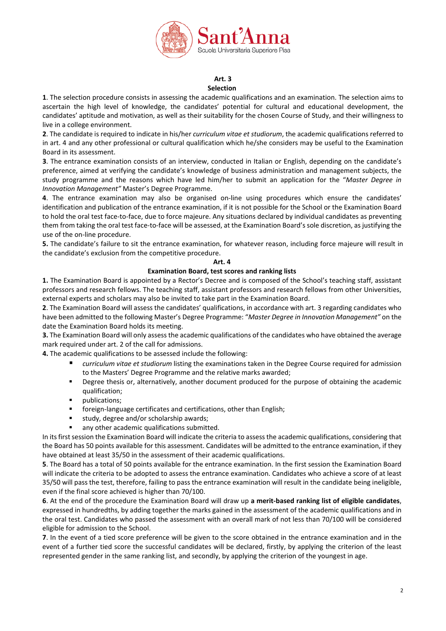

#### **Art. 3 Selection**

**1**. The selection procedure consists in assessing the academic qualifications and an examination. The selection aims to ascertain the high level of knowledge, the candidates' potential for cultural and educational development, the candidates' aptitude and motivation, as well as their suitability for the chosen Course of Study, and their willingness to live in a college environment.

**2**. The candidate is required to indicate in his/her *curriculum vitae et studiorum*, the academic qualifications referred to in art. 4 and any other professional or cultural qualification which he/she considers may be useful to the Examination Board in its assessment.

**3**. The entrance examination consists of an interview, conducted in Italian or English, depending on the candidate's preference, aimed at verifying the candidate's knowledge of business administration and management subjects, the study programme and the reasons which have led him/her to submit an application for the "*Master Degree in Innovation Management"* Master's Degree Programme.

**4**. The entrance examination may also be organised on-line using procedures which ensure the candidates' identification and publication of the entrance examination, if it is not possible for the School or the Examination Board to hold the oral test face-to-face, due to force majeure. Any situations declared by individual candidates as preventing them from taking the oral test face-to-face will be assessed, at the Examination Board's sole discretion, as justifying the use of the on-line procedure.

**5.** The candidate's failure to sit the entrance examination, for whatever reason, including force majeure will result in the candidate's exclusion from the competitive procedure.

#### **Art. 4**

## **Examination Board, test scores and ranking lists**

**1.** The Examination Board is appointed by a Rector's Decree and is composed of the School's teaching staff, assistant professors and research fellows. The teaching staff, assistant professors and research fellows from other Universities, external experts and scholars may also be invited to take part in the Examination Board.

**2**. The Examination Board will assess the candidates' qualifications, in accordance with art. 3 regarding candidates who have been admitted to the following Master's Degree Programme: "*Master Degree in Innovation Management"* on the date the Examination Board holds its meeting.

**3.** The Examination Board will only assess the academic qualifications of the candidates who have obtained the average mark required under art. 2 of the call for admissions.

**4.** The academic qualifications to be assessed include the following:

- *curriculum vitae et studiorum* listing the examinations taken in the Degree Course required for admission to the Masters' Degree Programme and the relative marks awarded;
- **•** Degree thesis or, alternatively, another document produced for the purpose of obtaining the academic qualification;
- publications;
- **fict** foreign-language certificates and certifications, other than English;
- $\blacksquare$  study, degree and/or scholarship awards;
- any other academic qualifications submitted.

In its first session the Examination Board will indicate the criteria to assess the academic qualifications, considering that the Board has 50 points available for this assessment. Candidates will be admitted to the entrance examination, if they have obtained at least 35/50 in the assessment of their academic qualifications.

**5**. The Board has a total of 50 points available for the entrance examination. In the first session the Examination Board will indicate the criteria to be adopted to assess the entrance examination. Candidates who achieve a score of at least 35/50 will pass the test, therefore, failing to pass the entrance examination will result in the candidate being ineligible, even if the final score achieved is higher than 70/100.

**6**. At the end of the procedure the Examination Board will draw up **a merit-based ranking list of eligible candidates**, expressed in hundredths, by adding together the marks gained in the assessment of the academic qualifications and in the oral test. Candidates who passed the assessment with an overall mark of not less than 70/100 will be considered eligible for admission to the School.

**7**. In the event of a tied score preference will be given to the score obtained in the entrance examination and in the event of a further tied score the successful candidates will be declared, firstly, by applying the criterion of the least represented gender in the same ranking list, and secondly, by applying the criterion of the youngest in age.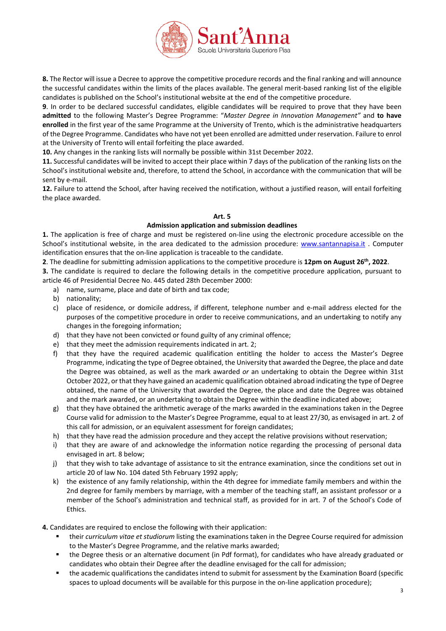

**8.** The Rector will issue a Decree to approve the competitive procedure records and the final ranking and will announce the successful candidates within the limits of the places available. The general merit-based ranking list of the eligible candidates is published on the School's institutional website at the end of the competitive procedure.

**9**. In order to be declared successful candidates, eligible candidates will be required to prove that they have been **admitted** to the following Master's Degree Programme: "*Master Degree in Innovation Management"* and **to have enrolled** in the first year of the same Programme at the University of Trento, which is the administrative headquarters of the Degree Programme. Candidates who have not yet been enrolled are admitted under reservation. Failure to enrol at the University of Trento will entail forfeiting the place awarded.

**10.** Any changes in the ranking lists will normally be possible within 31st December 2022.

**11.** Successful candidates will be invited to accept their place within 7 days of the publication of the ranking lists on the School's institutional website and, therefore, to attend the School, in accordance with the communication that will be sent by e-mail.

**12.** Failure to attend the School, after having received the notification, without a justified reason, will entail forfeiting the place awarded.

## **Art. 5**

## **Admission application and submission deadlines**

**1.** The application is free of charge and must be registered on-line using the electronic procedure accessible on the School's institutional website, in the area dedicated to the admission procedure: [www.santannapisa.it](http://www.santannapisa.it/) . Computer identification ensures that the on-line application is traceable to the candidate.

**2**. The deadline for submitting admission applications to the competitive procedure is **12pm on August 26th, 2022**.

**3.** The candidate is required to declare the following details in the competitive procedure application, pursuant to article 46 of Presidential Decree No. 445 dated 28th December 2000:

- a) name, surname, place and date of birth and tax code;
- b) nationality;
- c) place of residence, or domicile address, if different, telephone number and e-mail address elected for the purposes of the competitive procedure in order to receive communications, and an undertaking to notify any changes in the foregoing information;
- d) that they have not been convicted or found guilty of any criminal offence;
- e) that they meet the admission requirements indicated in art. 2;
- f) that they have the required academic qualification entitling the holder to access the Master's Degree Programme, indicating the type of Degree obtained, the University that awarded the Degree, the place and date the Degree was obtained, as well as the mark awarded *or* an undertaking to obtain the Degree within 31st October 2022, or that they have gained an academic qualification obtained abroad indicating the type of Degree obtained, the name of the University that awarded the Degree, the place and date the Degree was obtained and the mark awarded, or an undertaking to obtain the Degree within the deadline indicated above;
- g) that they have obtained the arithmetic average of the marks awarded in the examinations taken in the Degree Course valid for admission to the Master's Degree Programme, equal to at least 27/30, as envisaged in art. 2 of this call for admission, or an equivalent assessment for foreign candidates;
- h) that they have read the admission procedure and they accept the relative provisions without reservation;
- i) that they are aware of and acknowledge the information notice regarding the processing of personal data envisaged in art. 8 below;
- j) that they wish to take advantage of assistance to sit the entrance examination, since the conditions set out in article 20 of law No. 104 dated 5th February 1992 apply;
- k) the existence of any family relationship, within the 4th degree for immediate family members and within the 2nd degree for family members by marriage, with a member of the teaching staff, an assistant professor or a member of the School's administration and technical staff, as provided for in art. 7 of the School's Code of Ethics.

**4.** Candidates are required to enclose the following with their application:

- their *curriculum vitae et studiorum* listing the examinations taken in the Degree Course required for admission to the Master's Degree Programme, and the relative marks awarded;
- the Degree thesis or an alternative document (in Pdf format), for candidates who have already graduated or candidates who obtain their Degree after the deadline envisaged for the call for admission;
- the academic qualifications the candidates intend to submit for assessment by the Examination Board (specific spaces to upload documents will be available for this purpose in the on-line application procedure);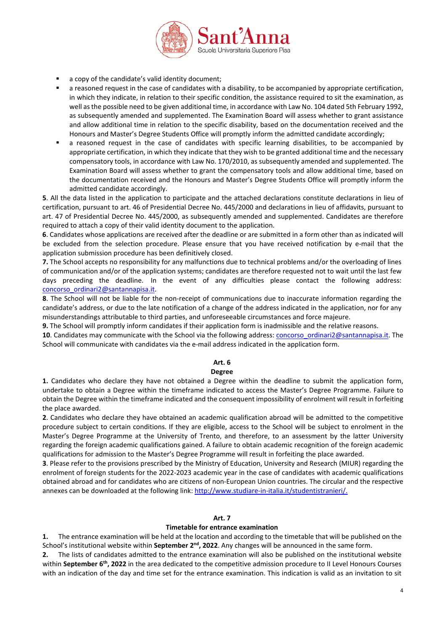

- a copy of the candidate's valid identity document;
- a reasoned request in the case of candidates with a disability, to be accompanied by appropriate certification, in which they indicate, in relation to their specific condition, the assistance required to sit the examination, as well as the possible need to be given additional time, in accordance with Law No. 104 dated 5th February 1992, as subsequently amended and supplemented. The Examination Board will assess whether to grant assistance and allow additional time in relation to the specific disability, based on the documentation received and the Honours and Master's Degree Students Office will promptly inform the admitted candidate accordingly;
- a reasoned request in the case of candidates with specific learning disabilities, to be accompanied by appropriate certification, in which they indicate that they wish to be granted additional time and the necessary compensatory tools, in accordance with Law No. 170/2010, as subsequently amended and supplemented. The Examination Board will assess whether to grant the compensatory tools and allow additional time, based on the documentation received and the Honours and Master's Degree Students Office will promptly inform the admitted candidate accordingly.

**5**. All the data listed in the application to participate and the attached declarations constitute declarations in lieu of certification, pursuant to art. 46 of Presidential Decree No. 445/2000 and declarations in lieu of affidavits, pursuant to art. 47 of Presidential Decree No. 445/2000, as subsequently amended and supplemented. Candidates are therefore required to attach a copy of their valid identity document to the application.

**6**. Candidates whose applications are received after the deadline or are submitted in a form other than as indicated will be excluded from the selection procedure. Please ensure that you have received notification by e-mail that the application submission procedure has been definitively closed.

**7.** The School accepts no responsibility for any malfunctions due to technical problems and/or the overloading of lines of communication and/or of the application systems; candidates are therefore requested not to wait until the last few days preceding the deadline. In the event of any difficulties please contact the following address: [concorso\\_ordinari2@santannapisa.it.](mailto:concorso_ordinari2@santannapisa.it)

**8**. The School will not be liable for the non-receipt of communications due to inaccurate information regarding the candidate's address, or due to the late notification of a change of the address indicated in the application, nor for any misunderstandings attributable to third parties, and unforeseeable circumstances and force majeure.

**9.** The School will promptly inform candidates if their application form is inadmissible and the relative reasons.

10. Candidates may communicate with the School via the following address: [concorso\\_ordinari2@santannapisa.it.](mailto:concorso_ordinari2@santannapisa.it) The School will communicate with candidates via the e-mail address indicated in the application form.

## **Art. 6**

## **Degree**

**1.** Candidates who declare they have not obtained a Degree within the deadline to submit the application form, undertake to obtain a Degree within the timeframe indicated to access the Master's Degree Programme. Failure to obtain the Degree within the timeframe indicated and the consequent impossibility of enrolment will result in forfeiting the place awarded.

**2**. Candidates who declare they have obtained an academic qualification abroad will be admitted to the competitive procedure subject to certain conditions. If they are eligible, access to the School will be subject to enrolment in the Master's Degree Programme at the University of Trento, and therefore, to an assessment by the latter University regarding the foreign academic qualifications gained. A failure to obtain academic recognition of the foreign academic qualifications for admission to the Master's Degree Programme will result in forfeiting the place awarded.

**3**. Please refer to the provisions prescribed by the Ministry of Education, University and Research (MIUR) regarding the enrolment of foreign students for the 2022-2023 academic year in the case of candidates with academic qualifications obtained abroad and for candidates who are citizens of non-European Union countries. The circular and the respective annexes can be downloaded at the following link: [http://www.studiare-in-italia.it/studentistranieri/.](http://www.studiare-in-italia.it/studentistranieri/)

## **Art. 7**

## **Timetable for entrance examination**

**1.** The entrance examination will be held at the location and according to the timetable that will be published on the School's institutional website within **September 2nd, 2022**. Any changes will be announced in the same form.

**2.** The lists of candidates admitted to the entrance examination will also be published on the institutional website within **September 6th, 2022** in the area dedicated to the competitive admission procedure to II Level Honours Courses with an indication of the day and time set for the entrance examination. This indication is valid as an invitation to sit